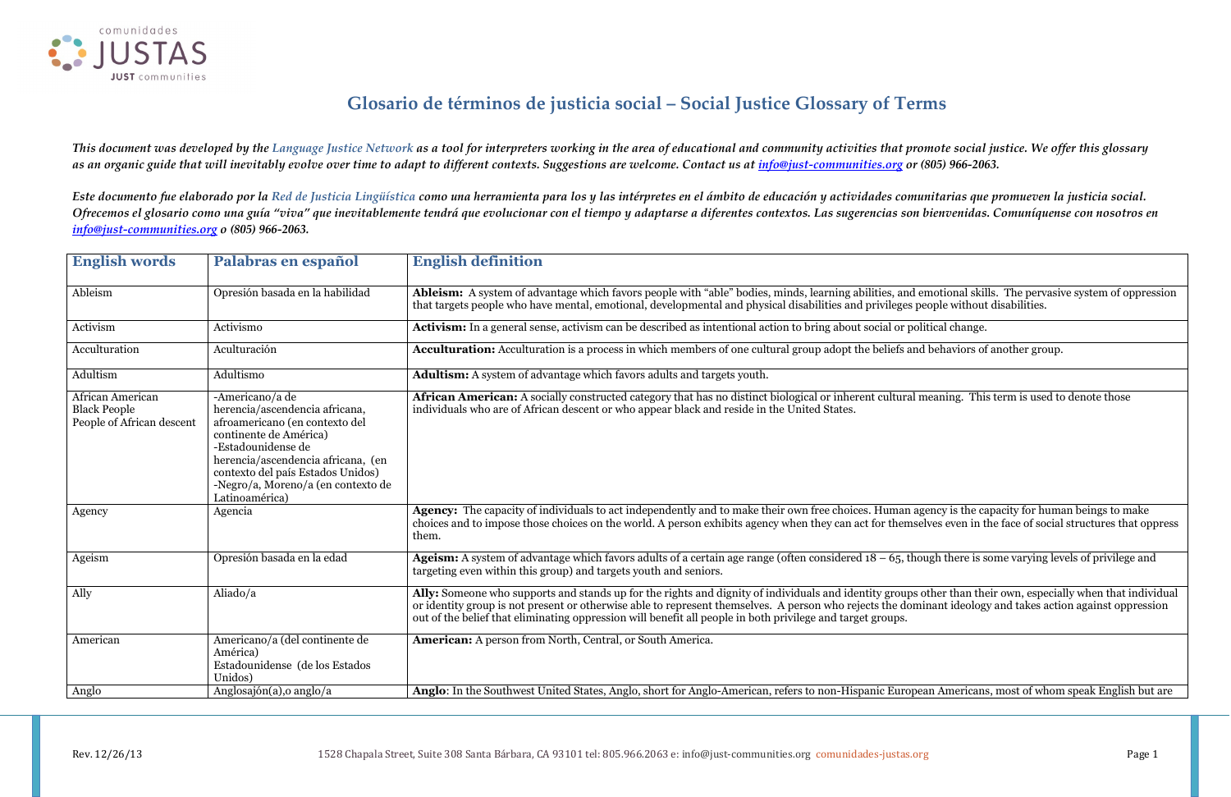nd emotional skills. The pervasive system of oppression es people without disabilities.

and behaviors of another group.

ral meaning. This term is used to denote those

In agency is the capacity for human beings to make mselves even in the face of social structures that oppress

though there is some varying levels of privilege and

ally so the rthan their own, especially when that individual lominant ideology and takes action against oppression

opean Americans, most of whom speak English but are



## Glosario de términos de justicia social – Social Justice Glossary of Terms

This document was developed by the Language Justice Network as a tool for interpreters working in the area of educational and community activities that promote social justice. We offer this glossary as an organic guide that will inevitably evolve over time to adapt to different contexts. Suggestions are welcome. Contact us at *info@just-communities.org* or (805) 966-2063.

Este documento fue elaborado por la Red de Justicia Lingüística como una herramienta para los y las intérpretes en el ámbito de educación y actividades comunitarias que promueven la justicia social. Ofrecemos el glosario como una guía "viva" que inevitablemente tendrá que evolucionar con el tiempo y adaptarse a diferentes contextos. Las sugerencias son bienvenidas. Comuníquense con nosotros en info@just-communities.org o (805) 966-2063.

| <b>English words</b>                                                 | Palabras en español                                                                                                                                                                                                                                                    | <b>English definition</b>                                                                                                                                                                                                                                                                                                                                     |
|----------------------------------------------------------------------|------------------------------------------------------------------------------------------------------------------------------------------------------------------------------------------------------------------------------------------------------------------------|---------------------------------------------------------------------------------------------------------------------------------------------------------------------------------------------------------------------------------------------------------------------------------------------------------------------------------------------------------------|
| Ableism                                                              | Opresión basada en la habilidad                                                                                                                                                                                                                                        | Ableism: A system of advantage which favors people with "able" bodies, minds, learning abilities, and emotional skill<br>that targets people who have mental, emotional, developmental and physical disabilities and privileges people without                                                                                                                |
| Activism                                                             | Activismo                                                                                                                                                                                                                                                              | <b>Activism:</b> In a general sense, activism can be described as intentional action to bring about social or political change.                                                                                                                                                                                                                               |
| Acculturation                                                        | Aculturación                                                                                                                                                                                                                                                           | <b>Acculturation:</b> Acculturation is a process in which members of one cultural group adopt the beliefs and behaviors of                                                                                                                                                                                                                                    |
| Adultism                                                             | Adultismo                                                                                                                                                                                                                                                              | Adultism: A system of advantage which favors adults and targets youth.                                                                                                                                                                                                                                                                                        |
| African American<br><b>Black People</b><br>People of African descent | -Americano/a de<br>herencia/ascendencia africana,<br>afroamericano (en contexto del<br>continente de América)<br>-Estadounidense de<br>herencia/ascendencia africana, (en<br>contexto del país Estados Unidos)<br>-Negro/a, Moreno/a (en contexto de<br>Latinoamérica) | African American: A socially constructed category that has no distinct biological or inherent cultural meaning. This<br>individuals who are of African descent or who appear black and reside in the United States.                                                                                                                                           |
| Agency                                                               | Agencia                                                                                                                                                                                                                                                                | Agency: The capacity of individuals to act independently and to make their own free choices. Human agency is the ca<br>choices and to impose those choices on the world. A person exhibits agency when they can act for themselves even in the<br>them.                                                                                                       |
| Ageism                                                               | Opresión basada en la edad                                                                                                                                                                                                                                             | Ageism: A system of advantage which favors adults of a certain age range (often considered $18 - 65$ , though there is se<br>targeting even within this group) and targets youth and seniors.                                                                                                                                                                 |
| Ally                                                                 | Aliado/a                                                                                                                                                                                                                                                               | Ally: Someone who supports and stands up for the rights and dignity of individuals and identity groups other than the<br>or identity group is not present or otherwise able to represent themselves. A person who rejects the dominant ideology<br>out of the belief that eliminating oppression will benefit all people in both privilege and target groups. |
| American                                                             | Americano/a (del continente de<br>América)<br>Estadounidense (de los Estados<br>Unidos)                                                                                                                                                                                | American: A person from North, Central, or South America.                                                                                                                                                                                                                                                                                                     |
| Anglo                                                                | Anglosajón(a), $o$ anglo/a                                                                                                                                                                                                                                             | Anglo: In the Southwest United States, Anglo, short for Anglo-American, refers to non-Hispanic European Americans                                                                                                                                                                                                                                             |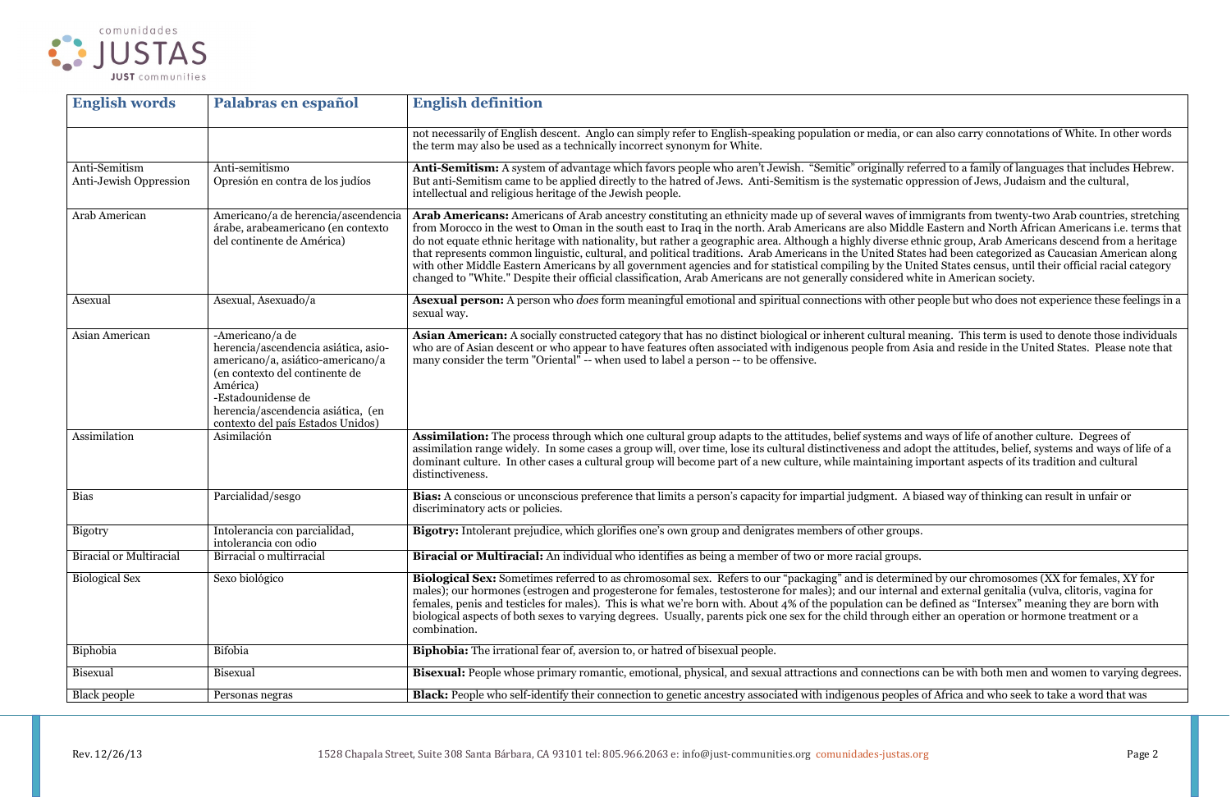## or can also carry connotations of White. In other words



| <b>English words</b>                    | Palabras en español                                                                                                                                                                                                                         | <b>English definition</b>                                                                                                                                                                                                                                                                                                                                                                                                                                                                                                                                                                                                                                                                                                                                                                                                                                                                                                                                   |
|-----------------------------------------|---------------------------------------------------------------------------------------------------------------------------------------------------------------------------------------------------------------------------------------------|-------------------------------------------------------------------------------------------------------------------------------------------------------------------------------------------------------------------------------------------------------------------------------------------------------------------------------------------------------------------------------------------------------------------------------------------------------------------------------------------------------------------------------------------------------------------------------------------------------------------------------------------------------------------------------------------------------------------------------------------------------------------------------------------------------------------------------------------------------------------------------------------------------------------------------------------------------------|
|                                         |                                                                                                                                                                                                                                             | not necessarily of English descent. Anglo can simply refer to English-speaking population or media, or can also carry connotations of White. In other words<br>the term may also be used as a technically incorrect synonym for White.                                                                                                                                                                                                                                                                                                                                                                                                                                                                                                                                                                                                                                                                                                                      |
| Anti-Semitism<br>Anti-Jewish Oppression | Anti-semitismo<br>Opresión en contra de los judíos                                                                                                                                                                                          | Anti-Semitism: A system of advantage which favors people who aren't Jewish. "Semitic" originally referred to a family of languages that includes Hebrew.<br>But anti-Semitism came to be applied directly to the hatred of Jews. Anti-Semitism is the systematic oppression of Jews, Judaism and the cultural,<br>intellectual and religious heritage of the Jewish people.                                                                                                                                                                                                                                                                                                                                                                                                                                                                                                                                                                                 |
| Arab American                           | Americano/a de herencia/ascendencia<br>árabe, arabeamericano (en contexto<br>del continente de América)                                                                                                                                     | Arab Americans: Americans of Arab ancestry constituting an ethnicity made up of several waves of immigrants from twenty-two Arab countries, stretching<br>from Morocco in the west to Oman in the south east to Iraq in the north. Arab Americans are also Middle Eastern and North African Americans i.e. terms that<br>do not equate ethnic heritage with nationality, but rather a geographic area. Although a highly diverse ethnic group, Arab Americans descend from a heritage<br>that represents common linguistic, cultural, and political traditions. Arab Americans in the United States had been categorized as Caucasian American along<br>with other Middle Eastern Americans by all government agencies and for statistical compiling by the United States census, until their official racial category<br>changed to "White." Despite their official classification, Arab Americans are not generally considered white in American society. |
| Asexual                                 | Asexual, Asexuado/a                                                                                                                                                                                                                         | Asexual person: A person who does form meaningful emotional and spiritual connections with other people but who does not experience these feelings in a<br>sexual way.                                                                                                                                                                                                                                                                                                                                                                                                                                                                                                                                                                                                                                                                                                                                                                                      |
| Asian American                          | -Americano/a de<br>herencia/ascendencia asiática, asio-<br>americano/a, asiático-americano/a<br>(en contexto del continente de<br>América)<br>-Estadounidense de<br>herencia/ascendencia asiática, (en<br>contexto del país Estados Unidos) | Asian American: A socially constructed category that has no distinct biological or inherent cultural meaning. This term is used to denote those individuals<br>who are of Asian descent or who appear to have features often associated with indigenous people from Asia and reside in the United States. Please note that<br>many consider the term "Oriental" -- when used to label a person -- to be offensive.                                                                                                                                                                                                                                                                                                                                                                                                                                                                                                                                          |
| Assimilation                            | Asimilación                                                                                                                                                                                                                                 | Assimilation: The process through which one cultural group adapts to the attitudes, belief systems and ways of life of another culture. Degrees of<br>assimilation range widely. In some cases a group will, over time, lose its cultural distinctiveness and adopt the attitudes, belief, systems and ways of life of a<br>dominant culture. In other cases a cultural group will become part of a new culture, while maintaining important aspects of its tradition and cultural<br>distinctiveness.                                                                                                                                                                                                                                                                                                                                                                                                                                                      |
| Bias                                    | Parcialidad/sesgo                                                                                                                                                                                                                           | Bias: A conscious or unconscious preference that limits a person's capacity for impartial judgment. A biased way of thinking can result in unfair or<br>discriminatory acts or policies.                                                                                                                                                                                                                                                                                                                                                                                                                                                                                                                                                                                                                                                                                                                                                                    |
| Bigotry                                 | Intolerancia con parcialidad,<br>intolerancia con odio                                                                                                                                                                                      | <b>Bigotry:</b> Intolerant prejudice, which glorifies one's own group and denigrates members of other groups.                                                                                                                                                                                                                                                                                                                                                                                                                                                                                                                                                                                                                                                                                                                                                                                                                                               |
| <b>Biracial or Multiracial</b>          | Birracial o multirracial                                                                                                                                                                                                                    | Biracial or Multiracial: An individual who identifies as being a member of two or more racial groups.                                                                                                                                                                                                                                                                                                                                                                                                                                                                                                                                                                                                                                                                                                                                                                                                                                                       |
| <b>Biological Sex</b>                   | Sexo biológico                                                                                                                                                                                                                              | Biological Sex: Sometimes referred to as chromosomal sex. Refers to our "packaging" and is determined by our chromosomes (XX for females, XY for<br>males); our hormones (estrogen and progesterone for females, testosterone for males); and our internal and external genitalia (vulva, clitoris, vagina for<br>females, penis and testicles for males). This is what we're born with. About 4% of the population can be defined as "Intersex" meaning they are born with<br>biological aspects of both sexes to varying degrees. Usually, parents pick one sex for the child through either an operation or hormone treatment or a<br>combination.                                                                                                                                                                                                                                                                                                       |
| Biphobia                                | Bifobia                                                                                                                                                                                                                                     | <b>Biphobia:</b> The irrational fear of, aversion to, or hatred of bisexual people.                                                                                                                                                                                                                                                                                                                                                                                                                                                                                                                                                                                                                                                                                                                                                                                                                                                                         |
| Bisexual                                | <b>Bisexual</b>                                                                                                                                                                                                                             | Bisexual: People whose primary romantic, emotional, physical, and sexual attractions and connections can be with both men and women to varying degrees                                                                                                                                                                                                                                                                                                                                                                                                                                                                                                                                                                                                                                                                                                                                                                                                      |
| Black people                            | Personas negras                                                                                                                                                                                                                             | Black: People who self-identify their connection to genetic ancestry associated with indigenous peoples of Africa and who seek to take a word that was                                                                                                                                                                                                                                                                                                                                                                                                                                                                                                                                                                                                                                                                                                                                                                                                      |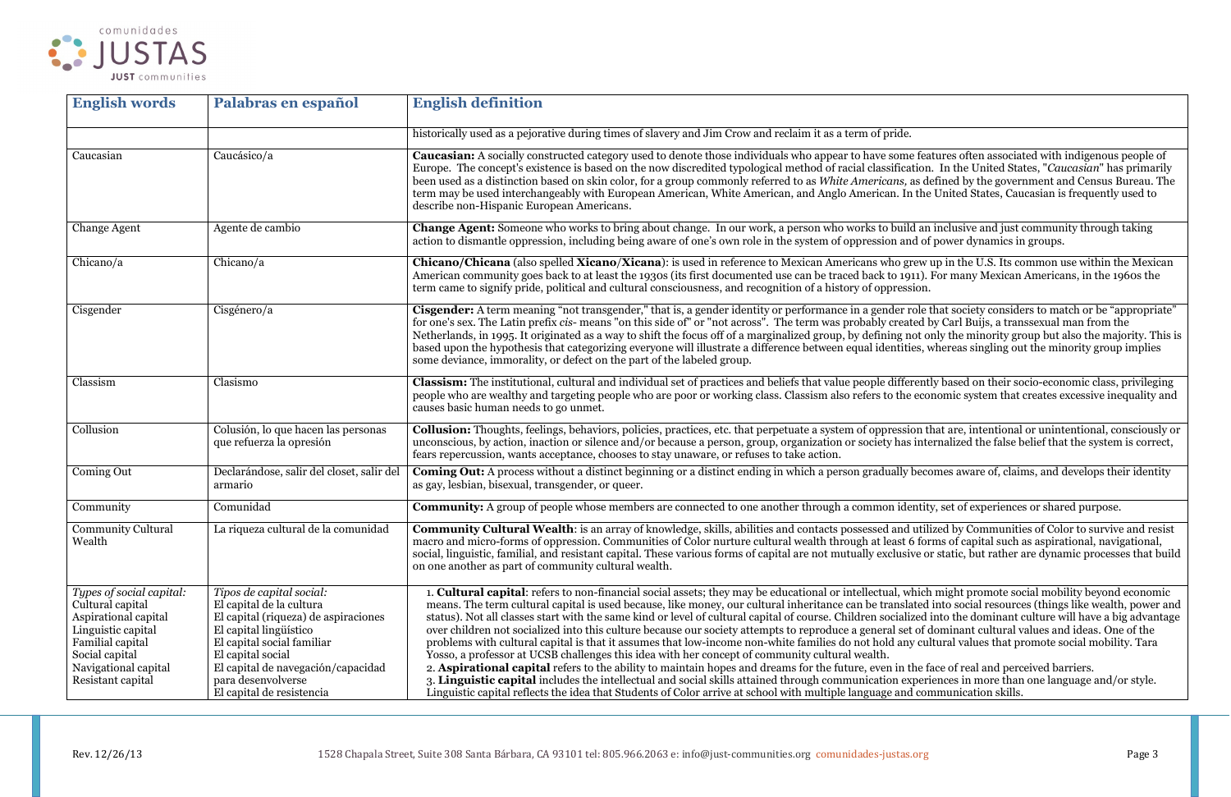

| <b>English words</b>                                                                                                                                                          | Palabras en español                                                                                                                                                                                                                                                | <b>English definition</b>                                                                                                                                                                                                                                                                                                                                                                                                                                                                                                                                                                                                                                                                                                                                                                                                                                                                                                                                                                                                                                                                                                                                                                                                                                                                                                                                       |
|-------------------------------------------------------------------------------------------------------------------------------------------------------------------------------|--------------------------------------------------------------------------------------------------------------------------------------------------------------------------------------------------------------------------------------------------------------------|-----------------------------------------------------------------------------------------------------------------------------------------------------------------------------------------------------------------------------------------------------------------------------------------------------------------------------------------------------------------------------------------------------------------------------------------------------------------------------------------------------------------------------------------------------------------------------------------------------------------------------------------------------------------------------------------------------------------------------------------------------------------------------------------------------------------------------------------------------------------------------------------------------------------------------------------------------------------------------------------------------------------------------------------------------------------------------------------------------------------------------------------------------------------------------------------------------------------------------------------------------------------------------------------------------------------------------------------------------------------|
|                                                                                                                                                                               |                                                                                                                                                                                                                                                                    | historically used as a pejorative during times of slavery and Jim Crow and reclaim it as a term of pride.                                                                                                                                                                                                                                                                                                                                                                                                                                                                                                                                                                                                                                                                                                                                                                                                                                                                                                                                                                                                                                                                                                                                                                                                                                                       |
| Caucasian                                                                                                                                                                     | Caucásico/a                                                                                                                                                                                                                                                        | Caucasian: A socially constructed category used to denote those individuals who appear to have some features often associated with indigenous people of<br>Europe. The concept's existence is based on the now discredited typological method of racial classification. In the United States, "Caucasian" has primarily<br>been used as a distinction based on skin color, for a group commonly referred to as White Americans, as defined by the government and Census Bureau. The<br>term may be used interchangeably with European American, White American, and Anglo American. In the United States, Caucasian is frequently used to<br>describe non-Hispanic European Americans.                                                                                                                                                                                                                                                                                                                                                                                                                                                                                                                                                                                                                                                                          |
| <b>Change Agent</b>                                                                                                                                                           | Agente de cambio                                                                                                                                                                                                                                                   | <b>Change Agent:</b> Someone who works to bring about change. In our work, a person who works to build an inclusive and just community through taking<br>action to dismantle oppression, including being aware of one's own role in the system of oppression and of power dynamics in groups.                                                                                                                                                                                                                                                                                                                                                                                                                                                                                                                                                                                                                                                                                                                                                                                                                                                                                                                                                                                                                                                                   |
| Chicano/a                                                                                                                                                                     | Chicano/ $a$                                                                                                                                                                                                                                                       | Chicano/Chicana (also spelled Xicano/Xicana): is used in reference to Mexican Americans who grew up in the U.S. Its common use within the Mexican<br>American community goes back to at least the 1930s (its first documented use can be traced back to 1911). For many Mexican Americans, in the 1960s the<br>term came to signify pride, political and cultural consciousness, and recognition of a history of oppression.                                                                                                                                                                                                                                                                                                                                                                                                                                                                                                                                                                                                                                                                                                                                                                                                                                                                                                                                    |
| Cisgender                                                                                                                                                                     | Cisgénero/a                                                                                                                                                                                                                                                        | Cisgender: A term meaning "not transgender," that is, a gender identity or performance in a gender role that society considers to match or be "appropriate"<br>for one's sex. The Latin prefix cis- means "on this side of" or "not across". The term was probably created by Carl Buijs, a transsexual man from the<br>Netherlands, in 1995. It originated as a way to shift the focus off of a marginalized group, by defining not only the minority group but also the majority. This is<br>based upon the hypothesis that categorizing everyone will illustrate a difference between equal identities, whereas singling out the minority group implies<br>some deviance, immorality, or defect on the part of the labeled group.                                                                                                                                                                                                                                                                                                                                                                                                                                                                                                                                                                                                                            |
| Classism                                                                                                                                                                      | Clasismo                                                                                                                                                                                                                                                           | <b>Classism:</b> The institutional, cultural and individual set of practices and beliefs that value people differently based on their socio-economic class, privileging<br>people who are wealthy and targeting people who are poor or working class. Classism also refers to the economic system that creates excessive inequality and<br>causes basic human needs to go unmet.                                                                                                                                                                                                                                                                                                                                                                                                                                                                                                                                                                                                                                                                                                                                                                                                                                                                                                                                                                                |
| Collusion                                                                                                                                                                     | Colusión, lo que hacen las personas<br>que refuerza la opresión                                                                                                                                                                                                    | Collusion: Thoughts, feelings, behaviors, policies, practices, etc. that perpetuate a system of oppression that are, intentional or unintentional, consciously or<br>unconscious, by action, inaction or silence and/or because a person, group, organization or society has internalized the false belief that the system is correct,<br>fears repercussion, wants acceptance, chooses to stay unaware, or refuses to take action.                                                                                                                                                                                                                                                                                                                                                                                                                                                                                                                                                                                                                                                                                                                                                                                                                                                                                                                             |
| Coming Out                                                                                                                                                                    | Declarándose, salir del closet, salir del<br>armario                                                                                                                                                                                                               | Coming Out: A process without a distinct beginning or a distinct ending in which a person gradually becomes aware of, claims, and develops their identity<br>as gay, lesbian, bisexual, transgender, or queer.                                                                                                                                                                                                                                                                                                                                                                                                                                                                                                                                                                                                                                                                                                                                                                                                                                                                                                                                                                                                                                                                                                                                                  |
| Community                                                                                                                                                                     | Comunidad                                                                                                                                                                                                                                                          | <b>Community:</b> A group of people whose members are connected to one another through a common identity, set of experiences or shared purpose.                                                                                                                                                                                                                                                                                                                                                                                                                                                                                                                                                                                                                                                                                                                                                                                                                                                                                                                                                                                                                                                                                                                                                                                                                 |
| <b>Community Cultural</b><br>Wealth                                                                                                                                           | La riqueza cultural de la comunidad                                                                                                                                                                                                                                | Community Cultural Wealth: is an array of knowledge, skills, abilities and contacts possessed and utilized by Communities of Color to survive and resist<br>macro and micro-forms of oppression. Communities of Color nurture cultural wealth through at least 6 forms of capital such as aspirational, navigational,<br>social, linguistic, familial, and resistant capital. These various forms of capital are not mutually exclusive or static, but rather are dynamic processes that build<br>on one another as part of community cultural wealth.                                                                                                                                                                                                                                                                                                                                                                                                                                                                                                                                                                                                                                                                                                                                                                                                          |
| Types of social capital:<br>Cultural capital<br>Aspirational capital<br>Linguistic capital<br>Familial capital<br>Social capital<br>Navigational capital<br>Resistant capital | Tipos de capital social:<br>El capital de la cultura<br>El capital (riqueza) de aspiraciones<br>El capital lingüístico<br>El capital social familiar<br>El capital social<br>El capital de navegación/capacidad<br>para desenvolverse<br>El capital de resistencia | 1. Cultural capital: refers to non-financial social assets; they may be educational or intellectual, which might promote social mobility beyond economic<br>means. The term cultural capital is used because, like money, our cultural inheritance can be translated into social resources (things like wealth, power and<br>status). Not all classes start with the same kind or level of cultural capital of course. Children socialized into the dominant culture will have a big advantage<br>over children not socialized into this culture because our society attempts to reproduce a general set of dominant cultural values and ideas. One of the<br>problems with cultural capital is that it assumes that low-income non-white families do not hold any cultural values that promote social mobility. Tara<br>Yosso, a professor at UCSB challenges this idea with her concept of community cultural wealth.<br>2. Aspirational capital refers to the ability to maintain hopes and dreams for the future, even in the face of real and perceived barriers.<br>3. Linguistic capital includes the intellectual and social skills attained through communication experiences in more than one language and/or style.<br>Linguistic capital reflects the idea that Students of Color arrive at school with multiple language and communication skills. |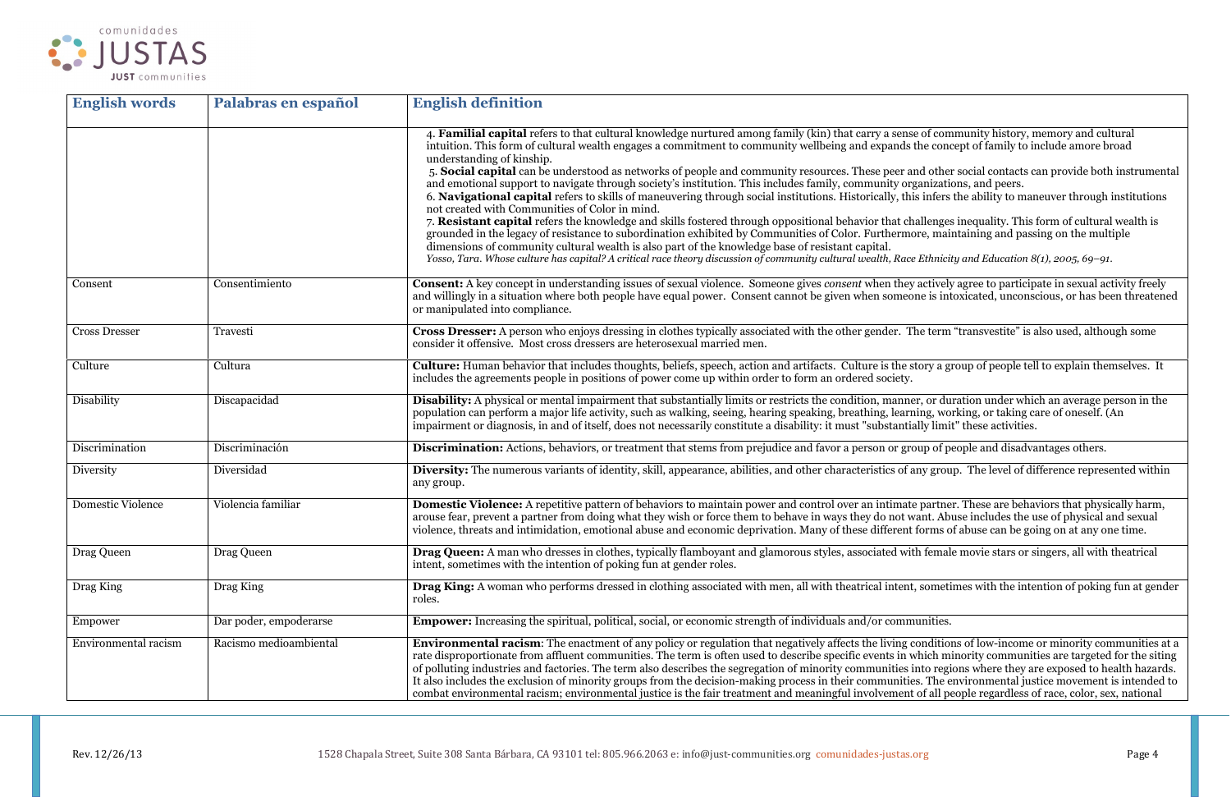

| <b>English words</b>     | Palabras en español    | <b>English definition</b>                                                                                                                                                                                                                                                                                                                                                                                                                                                                                                                                                                                                                                                                                                                                                                                                                                                                                                                                                                                                                                                                                                                                                                                                                                                                                                                                                                                      |
|--------------------------|------------------------|----------------------------------------------------------------------------------------------------------------------------------------------------------------------------------------------------------------------------------------------------------------------------------------------------------------------------------------------------------------------------------------------------------------------------------------------------------------------------------------------------------------------------------------------------------------------------------------------------------------------------------------------------------------------------------------------------------------------------------------------------------------------------------------------------------------------------------------------------------------------------------------------------------------------------------------------------------------------------------------------------------------------------------------------------------------------------------------------------------------------------------------------------------------------------------------------------------------------------------------------------------------------------------------------------------------------------------------------------------------------------------------------------------------|
|                          |                        | 4. Familial capital refers to that cultural knowledge nurtured among family (kin) that carry a sense of community history, memory and cultural<br>intuition. This form of cultural wealth engages a commitment to community wellbeing and expands the concept of family to include amore broad<br>understanding of kinship.<br>5. Social capital can be understood as networks of people and community resources. These peer and other social contacts can provide both instrumental<br>and emotional support to navigate through society's institution. This includes family, community organizations, and peers.<br>6. Navigational capital refers to skills of maneuvering through social institutions. Historically, this infers the ability to maneuver through institutions<br>not created with Communities of Color in mind.<br>7. Resistant capital refers the knowledge and skills fostered through oppositional behavior that challenges inequality. This form of cultural wealth is<br>grounded in the legacy of resistance to subordination exhibited by Communities of Color. Furthermore, maintaining and passing on the multiple<br>dimensions of community cultural wealth is also part of the knowledge base of resistant capital.<br>Yosso, Tara. Whose culture has capital? A critical race theory discussion of community cultural wealth, Race Ethnicity and Education 8(1), 2005, 69-91. |
| Consent                  | Consentimiento         | Consent: A key concept in understanding issues of sexual violence. Someone gives consent when they actively agree to participate in sexual activity freely<br>and willingly in a situation where both people have equal power. Consent cannot be given when someone is intoxicated, unconscious, or has been threatened<br>or manipulated into compliance.                                                                                                                                                                                                                                                                                                                                                                                                                                                                                                                                                                                                                                                                                                                                                                                                                                                                                                                                                                                                                                                     |
| <b>Cross Dresser</b>     | Travesti               | Cross Dresser: A person who enjoys dressing in clothes typically associated with the other gender. The term "transvestite" is also used, although some<br>consider it offensive. Most cross dressers are heterosexual married men.                                                                                                                                                                                                                                                                                                                                                                                                                                                                                                                                                                                                                                                                                                                                                                                                                                                                                                                                                                                                                                                                                                                                                                             |
| Culture                  | Cultura                | Culture: Human behavior that includes thoughts, beliefs, speech, action and artifacts. Culture is the story a group of people tell to explain themselves. It<br>includes the agreements people in positions of power come up within order to form an ordered society.                                                                                                                                                                                                                                                                                                                                                                                                                                                                                                                                                                                                                                                                                                                                                                                                                                                                                                                                                                                                                                                                                                                                          |
| Disability               | Discapacidad           | Disability: A physical or mental impairment that substantially limits or restricts the condition, manner, or duration under which an average person in the<br>population can perform a major life activity, such as walking, seeing, hearing speaking, breathing, learning, working, or taking care of oneself. (An<br>impairment or diagnosis, in and of itself, does not necessarily constitute a disability: it must "substantially limit" these activities.                                                                                                                                                                                                                                                                                                                                                                                                                                                                                                                                                                                                                                                                                                                                                                                                                                                                                                                                                |
| Discrimination           | Discriminación         | <b>Discrimination:</b> Actions, behaviors, or treatment that stems from prejudice and favor a person or group of people and disadvantages others.                                                                                                                                                                                                                                                                                                                                                                                                                                                                                                                                                                                                                                                                                                                                                                                                                                                                                                                                                                                                                                                                                                                                                                                                                                                              |
| Diversity                | Diversidad             | Diversity: The numerous variants of identity, skill, appearance, abilities, and other characteristics of any group. The level of difference represented within<br>any group.                                                                                                                                                                                                                                                                                                                                                                                                                                                                                                                                                                                                                                                                                                                                                                                                                                                                                                                                                                                                                                                                                                                                                                                                                                   |
| <b>Domestic Violence</b> | Violencia familiar     | Domestic Violence: A repetitive pattern of behaviors to maintain power and control over an intimate partner. These are behaviors that physically harm,<br>arouse fear, prevent a partner from doing what they wish or force them to behave in ways they do not want. Abuse includes the use of physical and sexual<br>violence, threats and intimidation, emotional abuse and economic deprivation. Many of these different forms of abuse can be going on at any one time.                                                                                                                                                                                                                                                                                                                                                                                                                                                                                                                                                                                                                                                                                                                                                                                                                                                                                                                                    |
| Drag Queen               | Drag Queen             | Drag Queen: A man who dresses in clothes, typically flamboyant and glamorous styles, associated with female movie stars or singers, all with theatrical<br>intent, sometimes with the intention of poking fun at gender roles.                                                                                                                                                                                                                                                                                                                                                                                                                                                                                                                                                                                                                                                                                                                                                                                                                                                                                                                                                                                                                                                                                                                                                                                 |
| Drag King                | Drag King              | Drag King: A woman who performs dressed in clothing associated with men, all with theatrical intent, sometimes with the intention of poking fun at gender<br>roles.                                                                                                                                                                                                                                                                                                                                                                                                                                                                                                                                                                                                                                                                                                                                                                                                                                                                                                                                                                                                                                                                                                                                                                                                                                            |
| Empower                  | Dar poder, empoderarse | <b>Empower:</b> Increasing the spiritual, political, social, or economic strength of individuals and/or communities.                                                                                                                                                                                                                                                                                                                                                                                                                                                                                                                                                                                                                                                                                                                                                                                                                                                                                                                                                                                                                                                                                                                                                                                                                                                                                           |
| Environmental racism     | Racismo medioambiental | Environmental racism: The enactment of any policy or regulation that negatively affects the living conditions of low-income or minority communities at a<br>rate disproportionate from affluent communities. The term is often used to describe specific events in which minority communities are targeted for the siting<br>of polluting industries and factories. The term also describes the segregation of minority communities into regions where they are exposed to health hazards.<br>It also includes the exclusion of minority groups from the decision-making process in their communities. The environmental justice movement is intended to<br>combat environmental racism; environmental justice is the fair treatment and meaningful involvement of all people regardless of race, color, sex, national                                                                                                                                                                                                                                                                                                                                                                                                                                                                                                                                                                                         |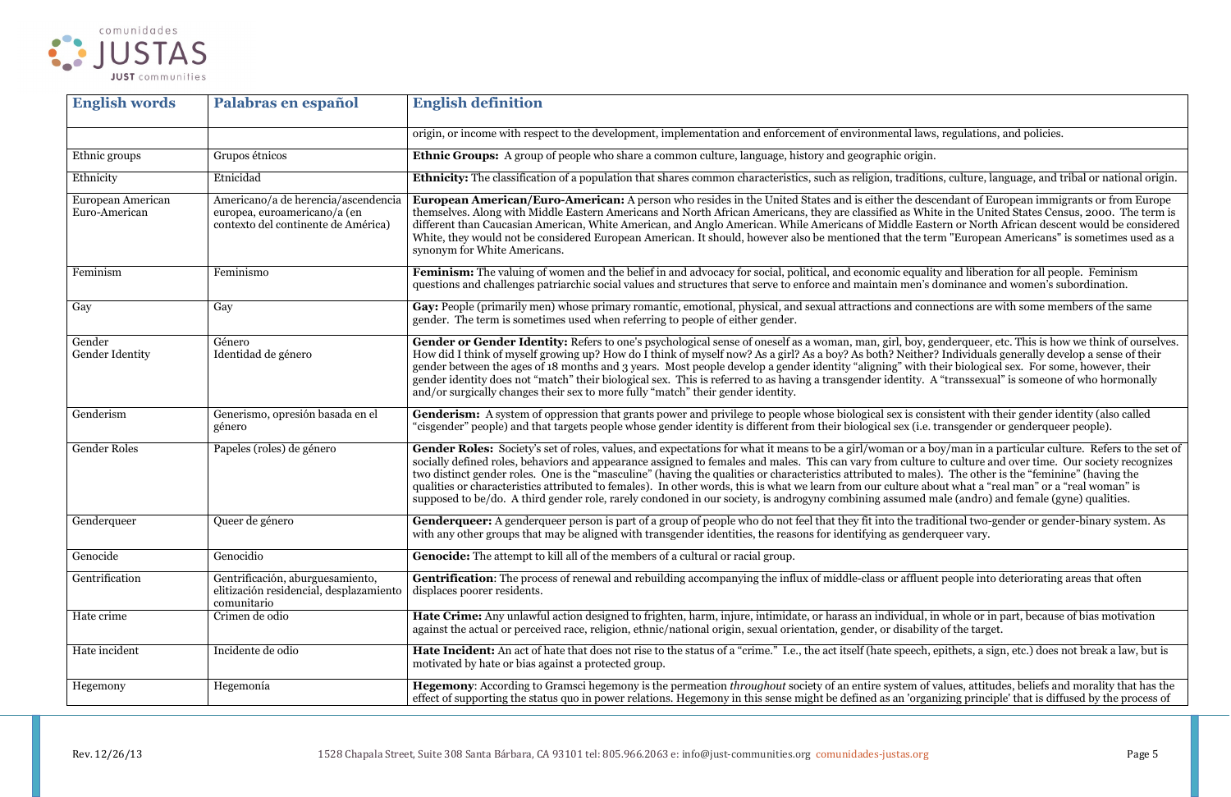

| <b>English words</b>               | Palabras en español                                                                                        | <b>English definition</b>                                                                                                                                                                                                                                                                                                                                                                                                                                                                                                                                                                                                                                                                                                                                                                                 |
|------------------------------------|------------------------------------------------------------------------------------------------------------|-----------------------------------------------------------------------------------------------------------------------------------------------------------------------------------------------------------------------------------------------------------------------------------------------------------------------------------------------------------------------------------------------------------------------------------------------------------------------------------------------------------------------------------------------------------------------------------------------------------------------------------------------------------------------------------------------------------------------------------------------------------------------------------------------------------|
|                                    |                                                                                                            | origin, or income with respect to the development, implementation and enforcement of environmental laws, regulations, and policies.                                                                                                                                                                                                                                                                                                                                                                                                                                                                                                                                                                                                                                                                       |
| Ethnic groups                      | Grupos étnicos                                                                                             | Ethnic Groups: A group of people who share a common culture, language, history and geographic origin.                                                                                                                                                                                                                                                                                                                                                                                                                                                                                                                                                                                                                                                                                                     |
| Ethnicity                          | Etnicidad                                                                                                  | Ethnicity: The classification of a population that shares common characteristics, such as religion, traditions, culture, language, and tribal or national origin.                                                                                                                                                                                                                                                                                                                                                                                                                                                                                                                                                                                                                                         |
| European American<br>Euro-American | Americano/a de herencia/ascendencia<br>europea, euroamericano/a (en<br>contexto del continente de América) | European American/Euro-American: A person who resides in the United States and is either the descendant of European immigrants or from Europe<br>themselves. Along with Middle Eastern Americans and North African Americans, they are classified as White in the United States Census, 2000. The term is<br>different than Caucasian American, White American, and Anglo American. While Americans of Middle Eastern or North African descent would be considered<br>White, they would not be considered European American. It should, however also be mentioned that the term "European Americans" is sometimes used as a<br>synonym for White Americans.                                                                                                                                               |
| Feminism                           | Feminismo                                                                                                  | Feminism: The valuing of women and the belief in and advocacy for social, political, and economic equality and liberation for all people. Feminism<br>questions and challenges patriarchic social values and structures that serve to enforce and maintain men's dominance and women's subordination.                                                                                                                                                                                                                                                                                                                                                                                                                                                                                                     |
| Gay                                | Gay                                                                                                        | Gay: People (primarily men) whose primary romantic, emotional, physical, and sexual attractions and connections are with some members of the same<br>gender. The term is sometimes used when referring to people of either gender.                                                                                                                                                                                                                                                                                                                                                                                                                                                                                                                                                                        |
| Gender<br><b>Gender Identity</b>   | Género<br>Identidad de género                                                                              | Gender or Gender Identity: Refers to one's psychological sense of oneself as a woman, man, girl, boy, genderqueer, etc. This is how we think of ourselves.<br>How did I think of myself growing up? How do I think of myself now? As a girl? As a boy? As both? Neither? Individuals generally develop a sense of their<br>gender between the ages of 18 months and 3 years. Most people develop a gender identity "aligning" with their biological sex. For some, however, their<br>gender identity does not "match" their biological sex. This is referred to as having a transgender identity. A "transsexual" is someone of who hormonally<br>and/or surgically changes their sex to more fully "match" their gender identity.                                                                        |
| Genderism                          | Generismo, opresión basada en el<br>género                                                                 | Genderism: A system of oppression that grants power and privilege to people whose biological sex is consistent with their gender identity (also called<br>"cisgender" people) and that targets people whose gender identity is different from their biological sex (i.e. transgender or genderqueer people).                                                                                                                                                                                                                                                                                                                                                                                                                                                                                              |
| <b>Gender Roles</b>                | Papeles (roles) de género                                                                                  | Gender Roles: Society's set of roles, values, and expectations for what it means to be a girl/woman or a boy/man in a particular culture. Refers to the set of<br>socially defined roles, behaviors and appearance assigned to females and males. This can vary from culture to culture and over time. Our society recognizes<br>two distinct gender roles. One is the "masculine" (having the qualities or characteristics attributed to males). The other is the "feminine" (having the<br>qualities or characteristics attributed to females). In other words, this is what we learn from our culture about what a "real man" or a "real woman" is<br>supposed to be/do. A third gender role, rarely condoned in our society, is androgyny combining assumed male (andro) and female (gyne) qualities. |
| Genderqueer                        | Queer de género                                                                                            | Genderqueer: A genderqueer person is part of a group of people who do not feel that they fit into the traditional two-gender or gender-binary system. As<br>with any other groups that may be aligned with transgender identities, the reasons for identifying as genderqueer vary.                                                                                                                                                                                                                                                                                                                                                                                                                                                                                                                       |
| Genocide                           | Genocidio                                                                                                  | <b>Genocide:</b> The attempt to kill all of the members of a cultural or racial group.                                                                                                                                                                                                                                                                                                                                                                                                                                                                                                                                                                                                                                                                                                                    |
| Gentrification                     | Gentrificación, aburguesamiento,<br>elitización residencial, desplazamiento<br>comunitario                 | Gentrification: The process of renewal and rebuilding accompanying the influx of middle-class or affluent people into deteriorating areas that often<br>displaces poorer residents.                                                                                                                                                                                                                                                                                                                                                                                                                                                                                                                                                                                                                       |
| Hate crime                         | Crimen de odio                                                                                             | Hate Crime: Any unlawful action designed to frighten, harm, injure, intimidate, or harass an individual, in whole or in part, because of bias motivation<br>against the actual or perceived race, religion, ethnic/national origin, sexual orientation, gender, or disability of the target.                                                                                                                                                                                                                                                                                                                                                                                                                                                                                                              |
| Hate incident                      | Incidente de odio                                                                                          | Hate Incident: An act of hate that does not rise to the status of a "crime." I.e., the act itself (hate speech, epithets, a sign, etc.) does not break a law, but is<br>motivated by hate or bias against a protected group.                                                                                                                                                                                                                                                                                                                                                                                                                                                                                                                                                                              |
| Hegemony                           | Hegemonía                                                                                                  | Hegemony: According to Gramsci hegemony is the permeation throughout society of an entire system of values, attitudes, beliefs and morality that has the<br>effect of supporting the status quo in power relations. Hegemony in this sense might be defined as an 'organizing principle' that is diffused by the process of                                                                                                                                                                                                                                                                                                                                                                                                                                                                               |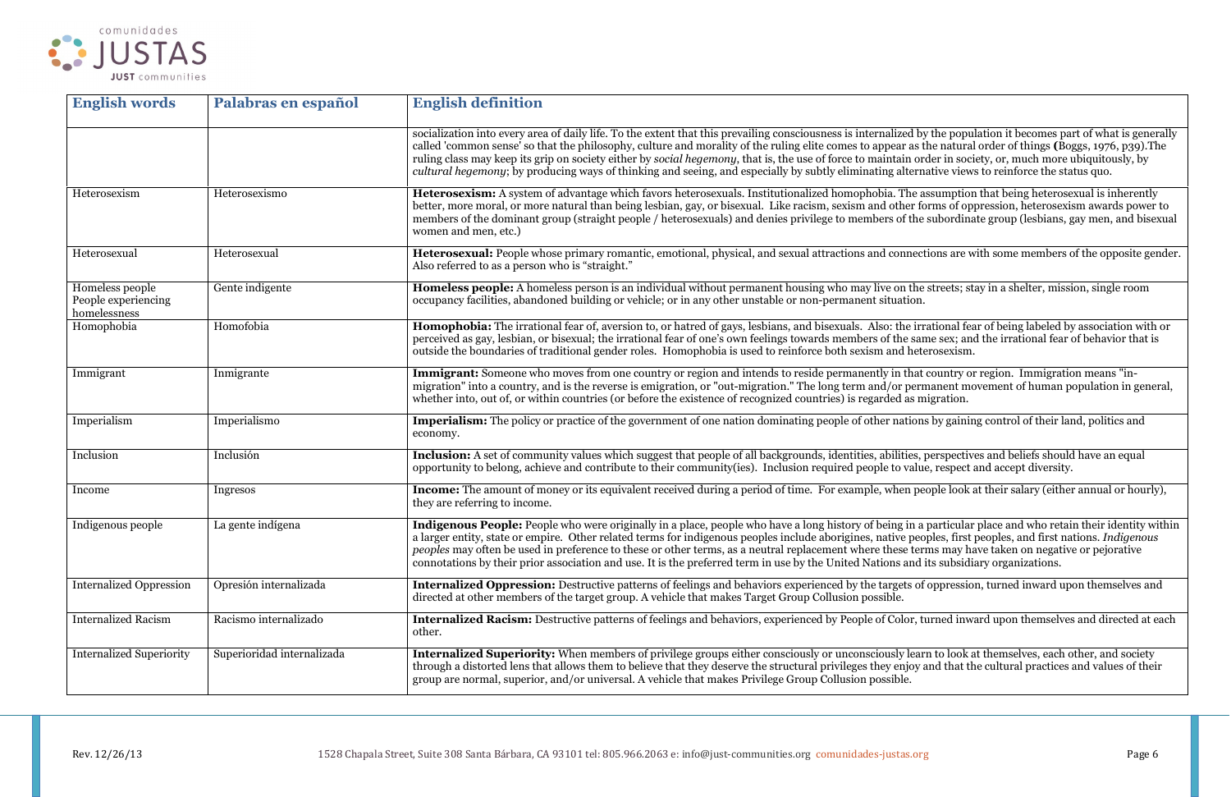

| <b>English words</b>                                   | Palabras en español        | <b>English definition</b>                                                                                                                                                                                                                                                                                                                                                                                                                                                                                                                                                                                                                                |
|--------------------------------------------------------|----------------------------|----------------------------------------------------------------------------------------------------------------------------------------------------------------------------------------------------------------------------------------------------------------------------------------------------------------------------------------------------------------------------------------------------------------------------------------------------------------------------------------------------------------------------------------------------------------------------------------------------------------------------------------------------------|
|                                                        |                            | socialization into every area of daily life. To the extent that this prevailing consciousness is internalized by the population it becomes part of what is generally<br>called 'common sense' so that the philosophy, culture and morality of the ruling elite comes to appear as the natural order of things (Boggs, 1976, p39). The<br>ruling class may keep its grip on society either by social hegemony, that is, the use of force to maintain order in society, or, much more ubiquitously, by<br>cultural hegemony; by producing ways of thinking and seeing, and especially by subtly eliminating alternative views to reinforce the status quo. |
| Heterosexism                                           | Heterosexismo              | Heterosexism: A system of advantage which favors heterosexuals. Institutionalized homophobia. The assumption that being heterosexual is inherently<br>better, more moral, or more natural than being lesbian, gay, or bisexual. Like racism, sexism and other forms of oppression, heterosexism awards power to<br>members of the dominant group (straight people / heterosexuals) and denies privilege to members of the subordinate group (lesbians, gay men, and bisexual<br>women and men, etc.)                                                                                                                                                     |
| Heterosexual                                           | Heterosexual               | Heterosexual: People whose primary romantic, emotional, physical, and sexual attractions and connections are with some members of the opposite gender<br>Also referred to as a person who is "straight."                                                                                                                                                                                                                                                                                                                                                                                                                                                 |
| Homeless people<br>People experiencing<br>homelessness | Gente indigente            | Homeless people: A homeless person is an individual without permanent housing who may live on the streets; stay in a shelter, mission, single room<br>occupancy facilities, abandoned building or vehicle; or in any other unstable or non-permanent situation.                                                                                                                                                                                                                                                                                                                                                                                          |
| Homophobia                                             | Homofobia                  | Homophobia: The irrational fear of, aversion to, or hatred of gays, lesbians, and bisexuals. Also: the irrational fear of being labeled by association with or<br>perceived as gay, lesbian, or bisexual; the irrational fear of one's own feelings towards members of the same sex; and the irrational fear of behavior that is<br>outside the boundaries of traditional gender roles. Homophobia is used to reinforce both sexism and heterosexism.                                                                                                                                                                                                    |
| Immigrant                                              | Inmigrante                 | Immigrant: Someone who moves from one country or region and intends to reside permanently in that country or region. Immigration means "in-<br>migration" into a country, and is the reverse is emigration, or "out-migration." The long term and/or permanent movement of human population in general,<br>whether into, out of, or within countries (or before the existence of recognized countries) is regarded as migration.                                                                                                                                                                                                                         |
| Imperialism                                            | Imperialismo               | Imperialism: The policy or practice of the government of one nation dominating people of other nations by gaining control of their land, politics and<br>economy.                                                                                                                                                                                                                                                                                                                                                                                                                                                                                        |
| Inclusion                                              | Inclusión                  | Inclusion: A set of community values which suggest that people of all backgrounds, identities, abilities, perspectives and beliefs should have an equal<br>opportunity to belong, achieve and contribute to their community(ies). Inclusion required people to value, respect and accept diversity.                                                                                                                                                                                                                                                                                                                                                      |
| Income                                                 | Ingresos                   | <b>Income:</b> The amount of money or its equivalent received during a period of time. For example, when people look at their salary (either annual or hourly),<br>they are referring to income.                                                                                                                                                                                                                                                                                                                                                                                                                                                         |
| Indigenous people                                      | La gente indígena          | Indigenous People: People who were originally in a place, people who have a long history of being in a particular place and who retain their identity within<br>a larger entity, state or empire. Other related terms for indigenous peoples include aborigines, native peoples, first peoples, and first nations. Indigenous peoples may often be used in preference to these or other terms,<br>connotations by their prior association and use. It is the preferred term in use by the United Nations and its subsidiary organizations.                                                                                                               |
| <b>Internalized Oppression</b>                         | Opresión internalizada     | Internalized Oppression: Destructive patterns of feelings and behaviors experienced by the targets of oppression, turned inward upon themselves and<br>directed at other members of the target group. A vehicle that makes Target Group Collusion possible.                                                                                                                                                                                                                                                                                                                                                                                              |
| <b>Internalized Racism</b>                             | Racismo internalizado      | Internalized Racism: Destructive patterns of feelings and behaviors, experienced by People of Color, turned inward upon themselves and directed at each<br>other.                                                                                                                                                                                                                                                                                                                                                                                                                                                                                        |
| <b>Internalized Superiority</b>                        | Superioridad internalizada | Internalized Superiority: When members of privilege groups either consciously or unconsciously learn to look at themselves, each other, and society<br>through a distorted lens that allows them to believe that they deserve the structural privileges they enjoy and that the cultural practices and values of their<br>group are normal, superior, and/or universal. A vehicle that makes Privilege Group Collusion possible.                                                                                                                                                                                                                         |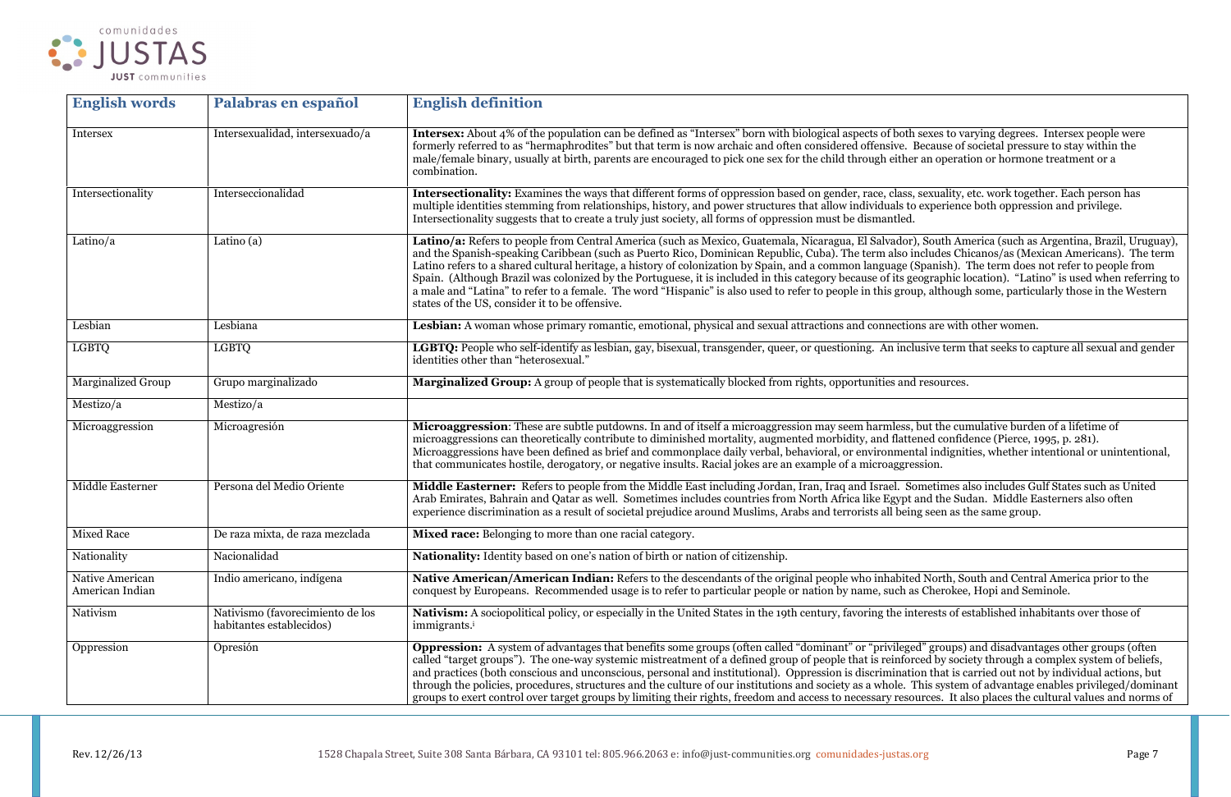

| <b>English words</b>               | Palabras en español                                          | <b>English definition</b>                                                                                                                                                                                                                                                                                                                                                                                                                                                                                                                                                                                                                                                                                                                                                                                                                                           |
|------------------------------------|--------------------------------------------------------------|---------------------------------------------------------------------------------------------------------------------------------------------------------------------------------------------------------------------------------------------------------------------------------------------------------------------------------------------------------------------------------------------------------------------------------------------------------------------------------------------------------------------------------------------------------------------------------------------------------------------------------------------------------------------------------------------------------------------------------------------------------------------------------------------------------------------------------------------------------------------|
| Intersex                           | Intersexualidad, intersexuado/a                              | Intersex: About 4% of the population can be defined as "Intersex" born with biological aspects of both sexes to varying degrees. Intersex people were<br>formerly referred to as "hermaphrodites" but that term is now archaic and often considered offensive. Because of societal pressure to stay within the<br>male/female binary, usually at birth, parents are encouraged to pick one sex for the child through either an operation or hormone treatment or a<br>combination.                                                                                                                                                                                                                                                                                                                                                                                  |
| Intersectionality                  | Interseccionalidad                                           | Intersectionality: Examines the ways that different forms of oppression based on gender, race, class, sexuality, etc. work together. Each person has<br>multiple identities stemming from relationships, history, and power structures that allow individuals to experience both oppression and privilege.<br>Intersectionality suggests that to create a truly just society, all forms of oppression must be dismantled.                                                                                                                                                                                                                                                                                                                                                                                                                                           |
| Latino/a                           | Latino (a)                                                   | Latino/a: Refers to people from Central America (such as Mexico, Guatemala, Nicaragua, El Salvador), South America (such as Argentina, Brazil, Uruguay),<br>and the Spanish-speaking Caribbean (such as Puerto Rico, Dominican Republic, Cuba). The term also includes Chicanos/as (Mexican Americans). The term<br>Latino refers to a shared cultural heritage, a history of colonization by Spain, and a common language (Spanish). The term does not refer to people from<br>Spain. (Although Brazil was colonized by the Portuguese, it is included in this category because of its geographic location). "Latino" is used when referring to<br>a male and "Latina" to refer to a female. The word "Hispanic" is also used to refer to people in this group, although some, particularly those in the Western<br>states of the US, consider it to be offensive. |
| Lesbian                            | Lesbiana                                                     | Lesbian: A woman whose primary romantic, emotional, physical and sexual attractions and connections are with other women.                                                                                                                                                                                                                                                                                                                                                                                                                                                                                                                                                                                                                                                                                                                                           |
| <b>LGBTQ</b>                       | <b>LGBTQ</b>                                                 | LGBTQ: People who self-identify as lesbian, gay, bisexual, transgender, queer, or questioning. An inclusive term that seeks to capture all sexual and gender<br>identities other than "heterosexual."                                                                                                                                                                                                                                                                                                                                                                                                                                                                                                                                                                                                                                                               |
| <b>Marginalized Group</b>          | Grupo marginalizado                                          | <b>Marginalized Group:</b> A group of people that is systematically blocked from rights, opportunities and resources.                                                                                                                                                                                                                                                                                                                                                                                                                                                                                                                                                                                                                                                                                                                                               |
| Mestizo/a                          | Mestizo/a                                                    |                                                                                                                                                                                                                                                                                                                                                                                                                                                                                                                                                                                                                                                                                                                                                                                                                                                                     |
| Microaggression                    | Microagresión                                                | Microaggression: These are subtle putdowns. In and of itself a microaggression may seem harmless, but the cumulative burden of a lifetime of<br>microaggressions can theoretically contribute to diminished mortality, augmented morbidity, and flattened confidence (Pierce, 1995, p. 281).<br>Microaggressions have been defined as brief and commonplace daily verbal, behavioral, or environmental indignities, whether intentional or unintentional,<br>that communicates hostile, derogatory, or negative insults. Racial jokes are an example of a microaggression.                                                                                                                                                                                                                                                                                          |
| Middle Easterner                   | Persona del Medio Oriente                                    | Middle Easterner: Refers to people from the Middle East including Jordan, Iran, Iraq and Israel. Sometimes also includes Gulf States such as United<br>Arab Emirates, Bahrain and Qatar as well. Sometimes includes countries from North Africa like Egypt and the Sudan. Middle Easterners also often<br>experience discrimination as a result of societal prejudice around Muslims, Arabs and terrorists all being seen as the same group.                                                                                                                                                                                                                                                                                                                                                                                                                        |
| <b>Mixed Race</b>                  | De raza mixta, de raza mezclada                              | Mixed race: Belonging to more than one racial category.                                                                                                                                                                                                                                                                                                                                                                                                                                                                                                                                                                                                                                                                                                                                                                                                             |
| Nationality                        | Nacionalidad                                                 | Nationality: Identity based on one's nation of birth or nation of citizenship.                                                                                                                                                                                                                                                                                                                                                                                                                                                                                                                                                                                                                                                                                                                                                                                      |
| Native American<br>American Indian | Indio americano, indígena                                    | Native American/American Indian: Refers to the descendants of the original people who inhabited North, South and Central America prior to the<br>conquest by Europeans. Recommended usage is to refer to particular people or nation by name, such as Cherokee, Hopi and Seminole.                                                                                                                                                                                                                                                                                                                                                                                                                                                                                                                                                                                  |
| Nativism                           | Nativismo (favorecimiento de los<br>habitantes establecidos) | Nativism: A sociopolitical policy, or especially in the United States in the 19th century, favoring the interests of established inhabitants over those of<br>immigrants. <sup>i</sup>                                                                                                                                                                                                                                                                                                                                                                                                                                                                                                                                                                                                                                                                              |
| Oppression                         | Opresión                                                     | <b>Oppression:</b> A system of advantages that benefits some groups (often called "dominant" or "privileged" groups) and disadvantages other groups (often<br>called "target groups"). The one-way systemic mistreatment of a defined group of people that is reinforced by society through a complex system of beliefs,<br>and practices (both conscious and unconscious, personal and institutional). Oppression is discrimination that is carried out not by individual actions, but<br>through the policies, procedures, structures and the culture of our institutions and society as a whole. This system of advantage enables privileged/dominant<br>groups to exert control over target groups by limiting their rights, freedom and access to necessary resources. It also places the cultural values and norms of                                         |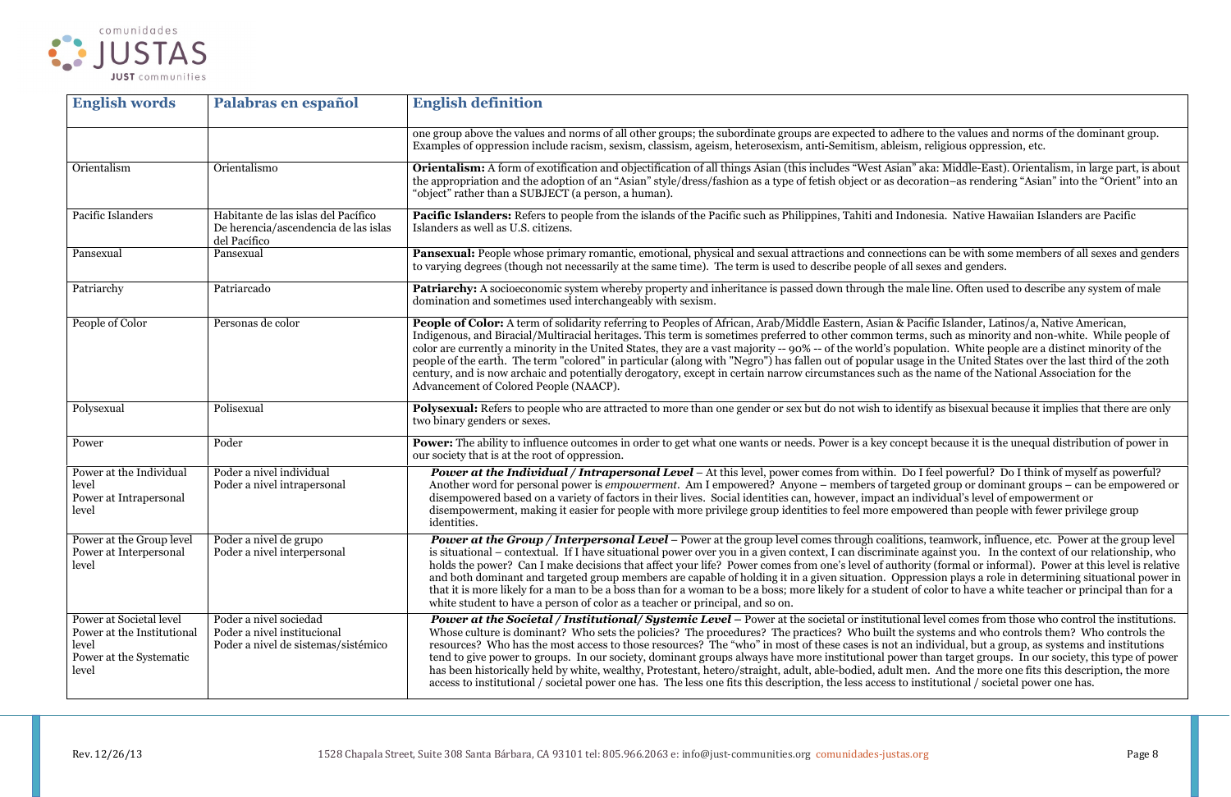

| <b>English words</b>                                                                               | Palabras en español                                                                          | <b>English definition</b>                                                                                                                                                                                                                                                                                                                                                                                                                                                                                                                                                                                                                                                                                                                                                                                                                                                                                                                      |
|----------------------------------------------------------------------------------------------------|----------------------------------------------------------------------------------------------|------------------------------------------------------------------------------------------------------------------------------------------------------------------------------------------------------------------------------------------------------------------------------------------------------------------------------------------------------------------------------------------------------------------------------------------------------------------------------------------------------------------------------------------------------------------------------------------------------------------------------------------------------------------------------------------------------------------------------------------------------------------------------------------------------------------------------------------------------------------------------------------------------------------------------------------------|
|                                                                                                    |                                                                                              | one group above the values and norms of all other groups; the subordinate groups are expected to adhere to the values and norms of the dominant group.<br>Examples of oppression include racism, sexism, classism, ageism, heterosexism, anti-Semitism, ableism, religious oppression, etc.                                                                                                                                                                                                                                                                                                                                                                                                                                                                                                                                                                                                                                                    |
| Orientalism                                                                                        | Orientalismo                                                                                 | Orientalism: A form of exotification and objectification of all things Asian (this includes "West Asian" aka: Middle-East). Orientalism, in large part, is about<br>the appropriation and the adoption of an "Asian" style/dress/fashion as a type of fetish object or as decoration–as rendering "Asian" into the "Orient" into an<br>"object" rather than a SUBJECT (a person, a human).                                                                                                                                                                                                                                                                                                                                                                                                                                                                                                                                                     |
| Pacific Islanders                                                                                  | Habitante de las islas del Pacífico<br>De herencia/ascendencia de las islas<br>del Pacífico  | Pacific Islanders: Refers to people from the islands of the Pacific such as Philippines, Tahiti and Indonesia. Native Hawaiian Islanders are Pacific<br>Islanders as well as U.S. citizens.                                                                                                                                                                                                                                                                                                                                                                                                                                                                                                                                                                                                                                                                                                                                                    |
| Pansexual                                                                                          | Pansexual                                                                                    | Pansexual: People whose primary romantic, emotional, physical and sexual attractions and connections can be with some members of all sexes and genders<br>to varying degrees (though not necessarily at the same time). The term is used to describe people of all sexes and genders.                                                                                                                                                                                                                                                                                                                                                                                                                                                                                                                                                                                                                                                          |
| Patriarchy                                                                                         | Patriarcado                                                                                  | Patriarchy: A socioeconomic system whereby property and inheritance is passed down through the male line. Often used to describe any system of male<br>domination and sometimes used interchangeably with sexism.                                                                                                                                                                                                                                                                                                                                                                                                                                                                                                                                                                                                                                                                                                                              |
| People of Color                                                                                    | Personas de color                                                                            | People of Color: A term of solidarity referring to Peoples of African, Arab/Middle Eastern, Asian & Pacific Islander, Latinos/a, Native American,<br>Indigenous, and Biracial/Multiracial heritages. This term is sometimes preferred to other common terms, such as minority and non-white. While people of<br>color are currently a minority in the United States, they are a vast majority -- 90% -- of the world's population. White people are a distinct minority of the<br>people of the earth. The term "colored" in particular (along with "Negro") has fallen out of popular usage in the United States over the last third of the 20th<br>century, and is now archaic and potentially derogatory, except in certain narrow circumstances such as the name of the National Association for the<br>Advancement of Colored People (NAACP).                                                                                             |
| Polysexual                                                                                         | Polisexual                                                                                   | Polysexual: Refers to people who are attracted to more than one gender or sex but do not wish to identify as bisexual because it implies that there are only<br>two binary genders or sexes.                                                                                                                                                                                                                                                                                                                                                                                                                                                                                                                                                                                                                                                                                                                                                   |
| Power                                                                                              | Poder                                                                                        | <b>Power:</b> The ability to influence outcomes in order to get what one wants or needs. Power is a key concept because it is the unequal distribution of power in<br>our society that is at the root of oppression.                                                                                                                                                                                                                                                                                                                                                                                                                                                                                                                                                                                                                                                                                                                           |
| Power at the Individual<br>level<br>Power at Intrapersonal<br>level                                | Poder a nivel individual<br>Poder a nivel intrapersonal                                      | <b>Power at the Individual / Intrapersonal Level –</b> At this level, power comes from within. Do I feel powerful? Do I think of myself as powerful?<br>Another word for personal power is empowerment. Am I empowered? Anyone - members of targeted group or dominant groups - can be empowered or<br>disempowered based on a variety of factors in their lives. Social identities can, however, impact an individual's level of empowerment or<br>disempowerment, making it easier for people with more privilege group identities to feel more empowered than people with fewer privilege group<br>identities.                                                                                                                                                                                                                                                                                                                              |
| Power at the Group level<br>Power at Interpersonal<br>level                                        | Poder a nivel de grupo<br>Poder a nivel interpersonal                                        | <b>Power at the Group / Interpersonal Level –</b> Power at the group level comes through coalitions, teamwork, influence, etc. Power at the group level<br>is situational – contextual. If I have situational power over you in a given context, I can discriminate against you. In the context of our relationship, who<br>holds the power? Can I make decisions that affect your life? Power comes from one's level of authority (formal or informal). Power at this level is relative<br>and both dominant and targeted group members are capable of holding it in a given situation. Oppression plays a role in determining situational power in<br>that it is more likely for a man to be a boss than for a woman to be a boss; more likely for a student of color to have a white teacher or principal than for a<br>white student to have a person of color as a teacher or principal, and so on.                                       |
| Power at Societal level<br>Power at the Institutional<br>level<br>Power at the Systematic<br>level | Poder a nivel sociedad<br>Poder a nivel institucional<br>Poder a nivel de sistemas/sistémico | Power at the Societal / Institutional/ Systemic Level - Power at the societal or institutional level comes from those who control the institutions.<br>Whose culture is dominant? Who sets the policies? The procedures? The practices? Who built the systems and who controls them? Who controls the<br>resources? Who has the most access to those resources? The "who" in most of these cases is not an individual, but a group, as systems and institutions<br>tend to give power to groups. In our society, dominant groups always have more institutional power than target groups. In our society, this type of power<br>has been historically held by white, wealthy, Protestant, hetero/straight, adult, able-bodied, adult men. And the more one fits this description, the more<br>access to institutional / societal power one has. The less one fits this description, the less access to institutional / societal power one has. |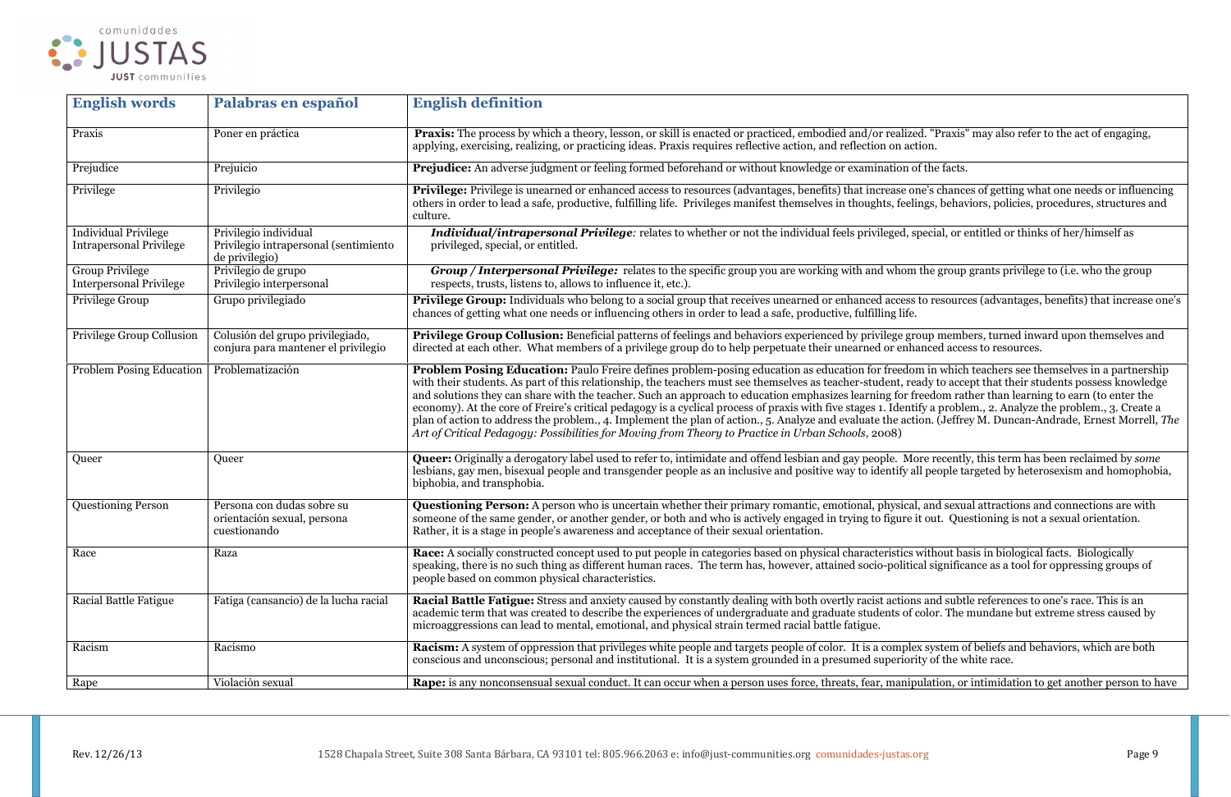

| <b>English words</b>                                          | Palabras en español                                                              | <b>English definition</b>                                                                                                                                                                                                                                                                                                                                                                                                                                                                                                                                                                                                                                                                                                                                                                                                                                                                                                  |
|---------------------------------------------------------------|----------------------------------------------------------------------------------|----------------------------------------------------------------------------------------------------------------------------------------------------------------------------------------------------------------------------------------------------------------------------------------------------------------------------------------------------------------------------------------------------------------------------------------------------------------------------------------------------------------------------------------------------------------------------------------------------------------------------------------------------------------------------------------------------------------------------------------------------------------------------------------------------------------------------------------------------------------------------------------------------------------------------|
| Praxis                                                        | Poner en práctica                                                                | Praxis: The process by which a theory, lesson, or skill is enacted or practiced, embodied and/or realized. "Praxis" may also refer to the act of engaging,<br>applying, exercising, realizing, or practicing ideas. Praxis requires reflective action, and reflection on action.                                                                                                                                                                                                                                                                                                                                                                                                                                                                                                                                                                                                                                           |
| Prejudice                                                     | Prejuicio                                                                        | <b>Prejudice:</b> An adverse judgment or feeling formed beforehand or without knowledge or examination of the facts.                                                                                                                                                                                                                                                                                                                                                                                                                                                                                                                                                                                                                                                                                                                                                                                                       |
| Privilege                                                     | Privilegio                                                                       | Privilege: Privilege is unearned or enhanced access to resources (advantages, benefits) that increase one's chances of getting what one needs or influencing<br>others in order to lead a safe, productive, fulfilling life. Privileges manifest themselves in thoughts, feelings, behaviors, policies, procedures, structures and<br>culture.                                                                                                                                                                                                                                                                                                                                                                                                                                                                                                                                                                             |
| <b>Individual Privilege</b><br><b>Intrapersonal Privilege</b> | Privilegio individual<br>Privilegio intrapersonal (sentimiento<br>de privilegio) | Individual/intrapersonal Privilege: relates to whether or not the individual feels privileged, special, or entitled or thinks of her/himself as<br>privileged, special, or entitled.                                                                                                                                                                                                                                                                                                                                                                                                                                                                                                                                                                                                                                                                                                                                       |
| <b>Group Privilege</b><br><b>Interpersonal Privilege</b>      | Privilegio de grupo<br>Privilegio interpersonal                                  | Group / Interpersonal Privilege: relates to the specific group you are working with and whom the group grants privilege to (i.e. who the group<br>respects, trusts, listens to, allows to influence it, etc.).                                                                                                                                                                                                                                                                                                                                                                                                                                                                                                                                                                                                                                                                                                             |
| Privilege Group                                               | Grupo privilegiado                                                               | Privilege Group: Individuals who belong to a social group that receives unearned or enhanced access to resources (advantages, benefits) that increase one's<br>chances of getting what one needs or influencing others in order to lead a safe, productive, fulfilling life.                                                                                                                                                                                                                                                                                                                                                                                                                                                                                                                                                                                                                                               |
| <b>Privilege Group Collusion</b>                              | Colusión del grupo privilegiado,<br>conjura para mantener el privilegio          | Privilege Group Collusion: Beneficial patterns of feelings and behaviors experienced by privilege group members, turned inward upon themselves and<br>directed at each other. What members of a privilege group do to help perpetuate their unearned or enhanced access to resources.                                                                                                                                                                                                                                                                                                                                                                                                                                                                                                                                                                                                                                      |
| <b>Problem Posing Education</b>                               | Problematización                                                                 | Problem Posing Education: Paulo Freire defines problem-posing education as education for freedom in which teachers see themselves in a partnership<br>with their students. As part of this relationship, the teachers must see themselves as teacher-student, ready to accept that their students possess knowledge<br>and solutions they can share with the teacher. Such an approach to education emphasizes learning for freedom rather than learning to earn (to enter the<br>economy). At the core of Freire's critical pedagogy is a cyclical process of praxis with five stages 1. Identify a problem., 2. Analyze the problem., 3. Create a<br>plan of action to address the problem., 4. Implement the plan of action., 5. Analyze and evaluate the action. (Jeffrey M. Duncan-Andrade, Ernest Morrell, The<br>Art of Critical Pedagogy: Possibilities for Moving from Theory to Practice in Urban Schools, 2008) |
| Queer                                                         | Queer                                                                            | Queer: Originally a derogatory label used to refer to, intimidate and offend lesbian and gay people. More recently, this term has been reclaimed by some<br>lesbians, gay men, bisexual people and transgender people as an inclusive and positive way to identify all people targeted by heterosexism and homophobia,<br>biphobia, and transphobia.                                                                                                                                                                                                                                                                                                                                                                                                                                                                                                                                                                       |
| <b>Questioning Person</b>                                     | Persona con dudas sobre su<br>orientación sexual, persona<br>cuestionando        | Questioning Person: A person who is uncertain whether their primary romantic, emotional, physical, and sexual attractions and connections are with<br>someone of the same gender, or another gender, or both and who is actively engaged in trying to figure it out. Questioning is not a sexual orientation.<br>Rather, it is a stage in people's awareness and acceptance of their sexual orientation.                                                                                                                                                                                                                                                                                                                                                                                                                                                                                                                   |
| Race                                                          | Raza                                                                             | Race: A socially constructed concept used to put people in categories based on physical characteristics without basis in biological facts. Biologically<br>speaking, there is no such thing as different human races. The term has, however, attained socio-political significance as a tool for oppressing groups of<br>people based on common physical characteristics.                                                                                                                                                                                                                                                                                                                                                                                                                                                                                                                                                  |
| Racial Battle Fatigue                                         | Fatiga (cansancio) de la lucha racial                                            | Racial Battle Fatigue: Stress and anxiety caused by constantly dealing with both overtly racist actions and subtle references to one's race. This is an<br>academic term that was created to describe the experiences of undergraduate and graduate students of color. The mundane but extreme stress caused by<br>microaggressions can lead to mental, emotional, and physical strain termed racial battle fatigue.                                                                                                                                                                                                                                                                                                                                                                                                                                                                                                       |
| Racism                                                        | Racismo                                                                          | Racism: A system of oppression that privileges white people and targets people of color. It is a complex system of beliefs and behaviors, which are both<br>conscious and unconscious; personal and institutional. It is a system grounded in a presumed superiority of the white race.                                                                                                                                                                                                                                                                                                                                                                                                                                                                                                                                                                                                                                    |
| Rape                                                          | Violación sexual                                                                 | Rape: is any nonconsensual sexual conduct. It can occur when a person uses force, threats, fear, manipulation, or intimidation to get another person to have                                                                                                                                                                                                                                                                                                                                                                                                                                                                                                                                                                                                                                                                                                                                                               |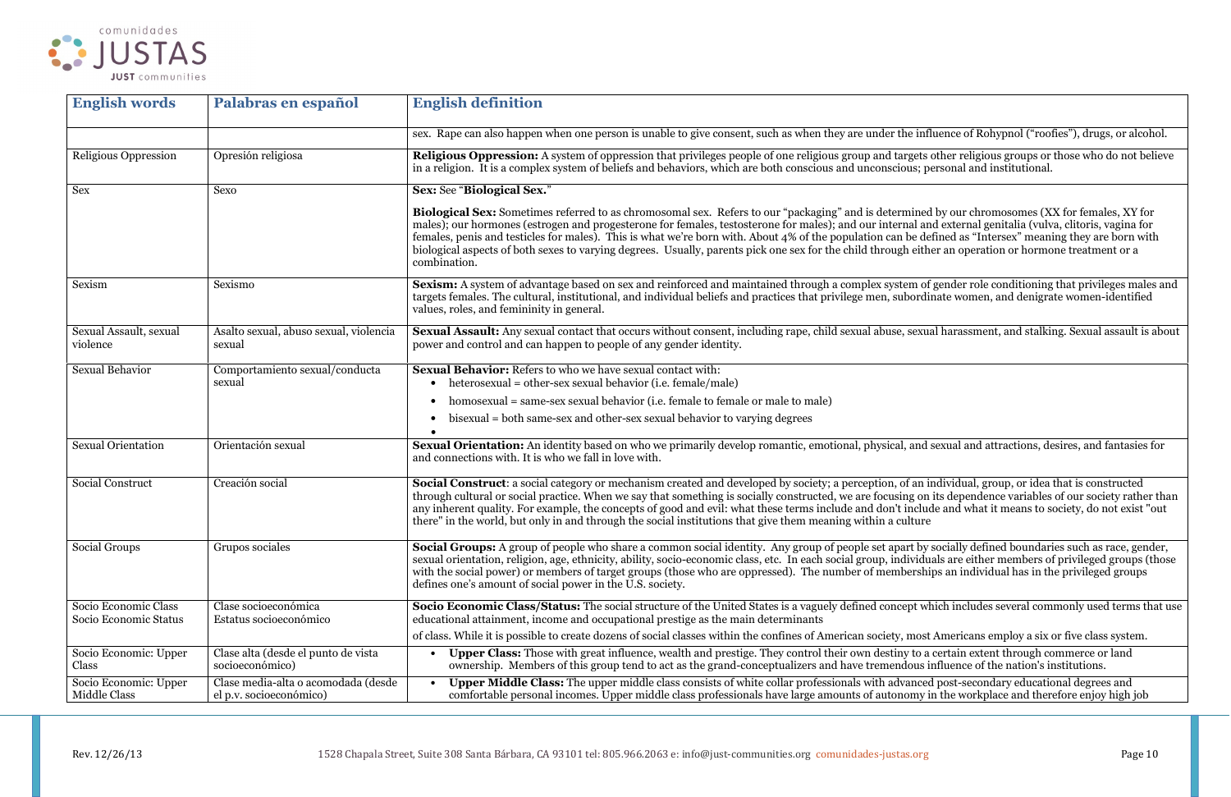oppression: A system religious groups or those who do not believe bus; personal and institutional.

tem of gender role conditioning that privileges males and abordinate women, and denigrate women-identified

sexual harassment, and stalking. Sexual assault is about

of an individual, group, or idea that is constructed ing on its dependence variables of our society rather than include and what it means to society, do not exist "out

art by socially defined boundaries such as race, gender, dividuals are either members of privileged groups (those berships an individual has in the privileged groups

ept which includes several commonly used terms that use



| <b>English words</b>                          | Palabras en español                                            | <b>English definition</b>                                                                                                                                                                                                                                                                                                                                                                                                                                                                                                                                                                                                                             |
|-----------------------------------------------|----------------------------------------------------------------|-------------------------------------------------------------------------------------------------------------------------------------------------------------------------------------------------------------------------------------------------------------------------------------------------------------------------------------------------------------------------------------------------------------------------------------------------------------------------------------------------------------------------------------------------------------------------------------------------------------------------------------------------------|
|                                               |                                                                | sex. Rape can also happen when one person is unable to give consent, such as when they are under the influence of Rohypnol ("roofies"), drugs, or alcoho                                                                                                                                                                                                                                                                                                                                                                                                                                                                                              |
| <b>Religious Oppression</b>                   | Opresión religiosa                                             | Religious Oppression: A system of oppression that privileges people of one religious group and targets other religious groups or those who do not belie<br>in a religion. It is a complex system of beliefs and behaviors, which are both conscious and unconscious; personal and institutional.                                                                                                                                                                                                                                                                                                                                                      |
| <b>Sex</b>                                    | <b>Sexo</b>                                                    | Sex: See "Biological Sex."                                                                                                                                                                                                                                                                                                                                                                                                                                                                                                                                                                                                                            |
|                                               |                                                                | Biological Sex: Sometimes referred to as chromosomal sex. Refers to our "packaging" and is determined by our chromosomes (XX for females, XY for<br>males); our hormones (estrogen and progesterone for females, testosterone for males); and our internal and external genitalia (vulva, clitoris, vagina for<br>females, penis and testicles for males). This is what we're born with. About 4% of the population can be defined as "Intersex" meaning they are born with<br>biological aspects of both sexes to varying degrees. Usually, parents pick one sex for the child through either an operation or hormone treatment or a<br>combination. |
| Sexism                                        | Sexismo                                                        | Sexism: A system of advantage based on sex and reinforced and maintained through a complex system of gender role conditioning that privileges males and<br>targets females. The cultural, institutional, and individual beliefs and practices that privilege men, subordinate women, and denigrate women-identified<br>values, roles, and femininity in general.                                                                                                                                                                                                                                                                                      |
| Sexual Assault, sexual<br>violence            | Asalto sexual, abuso sexual, violencia<br>sexual               | Sexual Assault: Any sexual contact that occurs without consent, including rape, child sexual abuse, sexual harassment, and stalking. Sexual assault is al<br>power and control and can happen to people of any gender identity.                                                                                                                                                                                                                                                                                                                                                                                                                       |
| <b>Sexual Behavior</b>                        | Comportamiento sexual/conducta                                 | <b>Sexual Behavior:</b> Refers to who we have sexual contact with:                                                                                                                                                                                                                                                                                                                                                                                                                                                                                                                                                                                    |
|                                               | sexual                                                         | heterosexual = other-sex sexual behavior (i.e. female/male)                                                                                                                                                                                                                                                                                                                                                                                                                                                                                                                                                                                           |
|                                               |                                                                | homosexual = same-sex sexual behavior (i.e. female to female or male to male)<br>bisexual = both same-sex and other-sex sexual behavior to varying degrees                                                                                                                                                                                                                                                                                                                                                                                                                                                                                            |
|                                               |                                                                |                                                                                                                                                                                                                                                                                                                                                                                                                                                                                                                                                                                                                                                       |
| <b>Sexual Orientation</b>                     | Orientación sexual                                             | Sexual Orientation: An identity based on who we primarily develop romantic, emotional, physical, and sexual and attractions, desires, and fantasies fo<br>and connections with. It is who we fall in love with.                                                                                                                                                                                                                                                                                                                                                                                                                                       |
| <b>Social Construct</b>                       | Creación social                                                | Social Construct: a social category or mechanism created and developed by society; a perception, of an individual, group, or idea that is constructed<br>through cultural or social practice. When we say that something is socially constructed, we are focusing on its dependence variables of our society rather t<br>any inherent quality. For example, the concepts of good and evil: what these terms include and don't include and what it means to society, do not exist "ou<br>there" in the world, but only in and through the social institutions that give them meaning within a culture                                                  |
| <b>Social Groups</b>                          | Grupos sociales                                                | Social Groups: A group of people who share a common social identity. Any group of people set apart by socially defined boundaries such as race, gende<br>sexual orientation, religion, age, ethnicity, ability, socio-economic class, etc. In each social group, individuals are either members of privileged groups (the<br>with the social power) or members of target groups (those who are oppressed). The number of memberships an individual has in the privileged groups<br>defines one's amount of social power in the U.S. society.                                                                                                          |
| Socio Economic Class<br>Socio Economic Status | Clase socioeconómica<br>Estatus socioeconómico                 | Socio Economic Class/Status: The social structure of the United States is a vaguely defined concept which includes several commonly used terms that<br>educational attainment, income and occupational prestige as the main determinants                                                                                                                                                                                                                                                                                                                                                                                                              |
|                                               |                                                                | of class. While it is possible to create dozens of social classes within the confines of American society, most Americans employ a six or five class system.                                                                                                                                                                                                                                                                                                                                                                                                                                                                                          |
| Socio Economic: Upper<br>Class                | Clase alta (desde el punto de vista<br>socioeconómico)         | <b>Upper Class:</b> Those with great influence, wealth and prestige. They control their own destiny to a certain extent through commerce or land<br>ownership. Members of this group tend to act as the grand-conceptualizers and have tremendous influence of the nation's institutions.                                                                                                                                                                                                                                                                                                                                                             |
| Socio Economic: Upper<br>Middle Class         | Clase media-alta o acomodada (desde<br>el p.v. socioeconómico) | <b>Upper Middle Class:</b> The upper middle class consists of white collar professionals with advanced post-secondary educational degrees and<br>comfortable personal incomes. Upper middle class professionals have large amounts of autonomy in the workplace and therefore enjoy high job                                                                                                                                                                                                                                                                                                                                                          |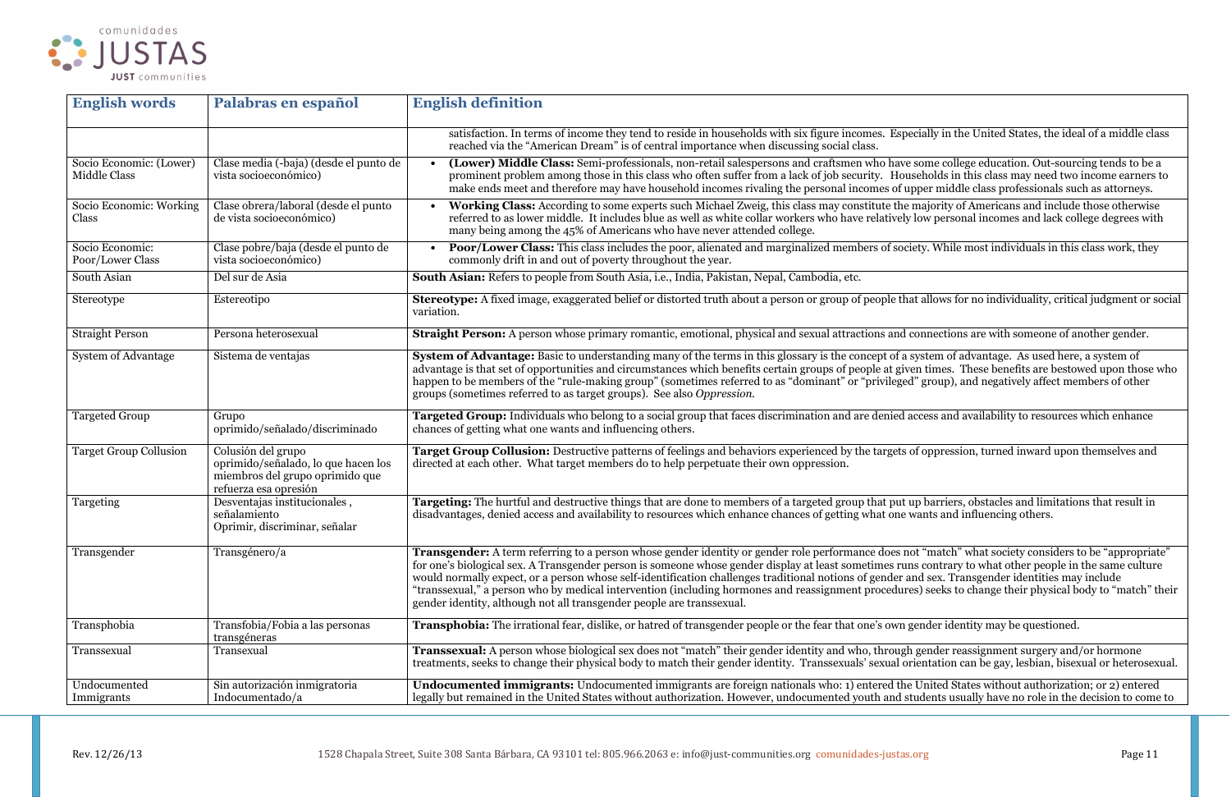

| <b>English words</b>                    | Palabras en español                                                                                                   | <b>English definition</b>                                                                                                                                                                                                                                                                                                                                                                                                                                                                                                                                                                                                                                                                                     |
|-----------------------------------------|-----------------------------------------------------------------------------------------------------------------------|---------------------------------------------------------------------------------------------------------------------------------------------------------------------------------------------------------------------------------------------------------------------------------------------------------------------------------------------------------------------------------------------------------------------------------------------------------------------------------------------------------------------------------------------------------------------------------------------------------------------------------------------------------------------------------------------------------------|
|                                         |                                                                                                                       | satisfaction. In terms of income they tend to reside in households with six figure incomes. Especially in the United States, the ideal of a middle class<br>reached via the "American Dream" is of central importance when discussing social class.                                                                                                                                                                                                                                                                                                                                                                                                                                                           |
| Socio Economic: (Lower)<br>Middle Class | Clase media (-baja) (desde el punto de<br>vista socioeconómico)                                                       | (Lower) Middle Class: Semi-professionals, non-retail salespersons and craftsmen who have some college education. Out-sourcing tends to be a<br>prominent problem among those in this class who often suffer from a lack of job security. Households in this class may need two income earners to<br>make ends meet and therefore may have household incomes rivaling the personal incomes of upper middle class professionals such as attorneys.                                                                                                                                                                                                                                                              |
| Socio Economic: Working<br>Class        | Clase obrera/laboral (desde el punto<br>de vista socioeconómico)                                                      | Working Class: According to some experts such Michael Zweig, this class may constitute the majority of Americans and include those otherwise<br>referred to as lower middle. It includes blue as well as white collar workers who have relatively low personal incomes and lack college degrees with<br>many being among the 45% of Americans who have never attended college.                                                                                                                                                                                                                                                                                                                                |
| Socio Economic:<br>Poor/Lower Class     | Clase pobre/baja (desde el punto de<br>vista socioeconómico)                                                          | <b>Poor/Lower Class:</b> This class includes the poor, alienated and marginalized members of society. While most individuals in this class work, they<br>commonly drift in and out of poverty throughout the year.                                                                                                                                                                                                                                                                                                                                                                                                                                                                                            |
| South Asian                             | Del sur de Asia                                                                                                       | South Asian: Refers to people from South Asia, i.e., India, Pakistan, Nepal, Cambodia, etc.                                                                                                                                                                                                                                                                                                                                                                                                                                                                                                                                                                                                                   |
| Stereotype                              | Estereotipo                                                                                                           | Stereotype: A fixed image, exaggerated belief or distorted truth about a person or group of people that allows for no individuality, critical judgment or socia<br>variation.                                                                                                                                                                                                                                                                                                                                                                                                                                                                                                                                 |
| <b>Straight Person</b>                  | Persona heterosexual                                                                                                  | Straight Person: A person whose primary romantic, emotional, physical and sexual attractions and connections are with someone of another gender.                                                                                                                                                                                                                                                                                                                                                                                                                                                                                                                                                              |
| System of Advantage                     | Sistema de ventajas                                                                                                   | System of Advantage: Basic to understanding many of the terms in this glossary is the concept of a system of advantage. As used here, a system of<br>advantage is that set of opportunities and circumstances which benefits certain groups of people at given times. These benefits are bestowed upon those who<br>happen to be members of the "rule-making group" (sometimes referred to as "dominant" or "privileged" group), and negatively affect members of other<br>groups (sometimes referred to as target groups). See also Oppression.                                                                                                                                                              |
| <b>Targeted Group</b>                   | Grupo<br>oprimido/señalado/discriminado                                                                               | Targeted Group: Individuals who belong to a social group that faces discrimination and are denied access and availability to resources which enhance<br>chances of getting what one wants and influencing others.                                                                                                                                                                                                                                                                                                                                                                                                                                                                                             |
| <b>Target Group Collusion</b>           | Colusión del grupo<br>oprimido/señalado, lo que hacen los<br>miembros del grupo oprimido que<br>refuerza esa opresión | Target Group Collusion: Destructive patterns of feelings and behaviors experienced by the targets of oppression, turned inward upon themselves and<br>directed at each other. What target members do to help perpetuate their own oppression.                                                                                                                                                                                                                                                                                                                                                                                                                                                                 |
| Targeting                               | Desventajas institucionales,<br>señalamiento<br>Oprimir, discriminar, señalar                                         | Targeting: The hurtful and destructive things that are done to members of a targeted group that put up barriers, obstacles and limitations that result in<br>disadvantages, denied access and availability to resources which enhance chances of getting what one wants and influencing others.                                                                                                                                                                                                                                                                                                                                                                                                               |
| Transgender                             | Transgénero/a                                                                                                         | Transgender: A term referring to a person whose gender identity or gender role performance does not "match" what society considers to be "appropriate"<br>for one's biological sex. A Transgender person is someone whose gender display at least sometimes runs contrary to what other people in the same culture<br>would normally expect, or a person whose self-identification challenges traditional notions of gender and sex. Transgender identities may include<br>"transsexual," a person who by medical intervention (including hormones and reassignment procedures) seeks to change their physical body to "match" their<br>gender identity, although not all transgender people are transsexual. |
| Transphobia                             | Transfobia/Fobia a las personas<br>transgéneras                                                                       | Transphobia: The irrational fear, dislike, or hatred of transgender people or the fear that one's own gender identity may be questioned.                                                                                                                                                                                                                                                                                                                                                                                                                                                                                                                                                                      |
| Transsexual                             | Transexual                                                                                                            | Transsexual: A person whose biological sex does not "match" their gender identity and who, through gender reassignment surgery and/or hormone<br>treatments, seeks to change their physical body to match their gender identity. Transsexuals' sexual orientation can be gay, lesbian, bisexual or heterosexual.                                                                                                                                                                                                                                                                                                                                                                                              |
| Undocumented<br>Immigrants              | Sin autorización inmigratoria<br>Indocumentado/a                                                                      | Undocumented immigrants: Undocumented immigrants are foreign nationals who: 1) entered the United States without authorization; or 2) entered<br>legally but remained in the United States without authorization. However, undocumented youth and students usually have no role in the decision to come to                                                                                                                                                                                                                                                                                                                                                                                                    |